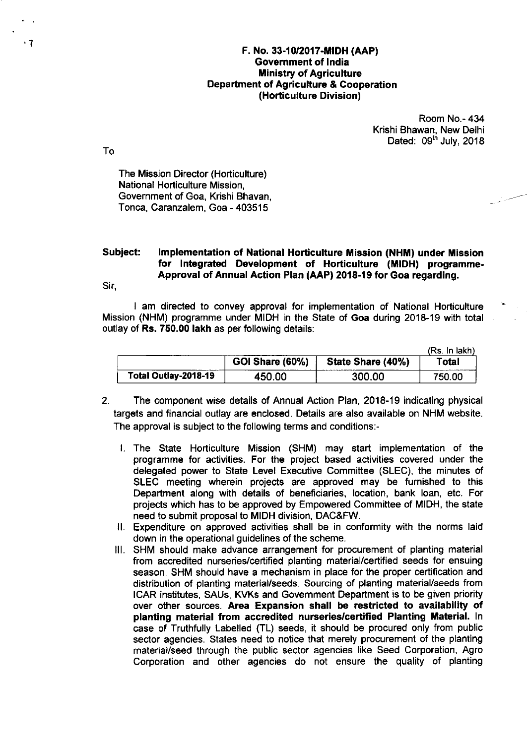## F. No. 33-10/2017-MIOH (AAP) Government of lndia **Ministry of Agriculture** Oepartment of Agriculture & Cooperation (Hotticulture Division)

Room No.- 434 Krishi Bhawan, New Delhi Dated: 09<sup>th</sup> July, 2018

To

The Mission Director (Horticulture) National Horticulture Mission, Government of Goa, Krishi Bhavan, Tonca, Caranzalem, Goa - 403515

## Subject: Implementation of National Horticulture Mission (NHM) under Mission for lntegrated Development of Horticulture (MIDH) programme-Approval of Annual Action Plan (AAP) 2018-19 for Goa regarding.

Sir,

I am directed to convey approval for implementation of National Horticulture Mission (NHM) programme under MIDH in the State of Goa during 2018-19 with total outlay of Rs. 750.00 lakh as per following details:

|                      |                 |                   | (Rs. In lakh) |
|----------------------|-----------------|-------------------|---------------|
|                      | GOI Share (60%) | State Share (40%) | Total         |
| Total Outlay-2018-19 | 450.00          | 300.00            | 750.00        |

- 2. The component wise details of Annual Action Plan, 2018-19 indicating physical targets and financial outlay are enclosed. Details are also available on NHM website. The approval is subject to the following terms and conditions:
	- l. The State Horticulture Mission (SHM) may start implementation of the programme for activities. For the project based activities covered under the delegated power to State Level Executive Committee (SLEC), the minutes of SLEC meeting wherein projects are approved may be furnished to this Department along with details of beneficiaries, location, bank loan, etc. For projects which has to be approved by Empowered Committee of MIDH, the state need to submit proposal to MIDH division, DAC&FW.
	- ll. Expenditure on approved activities shall be in conformity with the norms laid down in the operational guidelines of the scheme.
	- lll, SHM should make advance arrangement for procurement of planting material from accredited nurseries/certified planting material/certified seeds for ensuing season. SHM should have a mechanism in place for the proper certification and distribution of planting material/seeds. Sourcing of planting material/seeds from ICAR institutes, SAUs, KVKs and Govemment Department is to be given priority over other sources. Area Expansion shall be restricted to availability of planting material from accredited nurseries/certified Planting Material. ln case of Truthfully Labelled (TL) seeds, it should be procured only from public sector agencies. States need to notice that merely procurement of the planting material/seed through the public sector agencies like Seed Corporation, Agro Corporation and other agencies do not ensure the quality of planting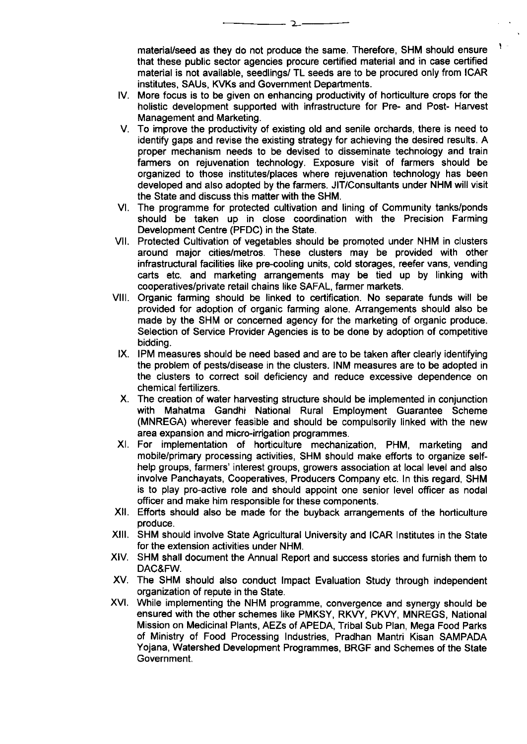material/seed as they do not produce the same. Therefore, SHM should ensure that these public sector agencies procure certified material and in case certified material is not available, seedlings/ TL seeds are to be procured only from ICAR institutes, SAUs, KVKs and Government Departments.

 $\mathbf{V}$ 

- tv. More focus is to be given on enhancing productivity of horticulture crops for the holistic development supported with infrastructure for Pre- and Post- Harvest Management and Marketing.
- To improve the productivity of existing old and senile orchards, there is need to identify gaps and revise the existing strategy for achieving the desired results. A proper mechanism needs to be devised to disseminate technology and train farmers on rejuvenation technology. Exposure visit of farmers should be organized to those institutes/places where rejuvenation technology has been developed and also adopted by the farmers. JIT/Consultants under NHM will visit the State and discuss this matter with the SHM.
- VI. The programme for protected cultivation and lining of Community tanks/ponds should be taken up in close coordination with the Precision Farming Development Centre (PFDC) in the State.
- vil. Protected Cultivation of vegetables should be promoted under NHM in clusters around major cities/metros. These clusters may be provided with other infrastructural facilities like pre-cooling units, cold storages, reefer vans, vending carts etc. and marketing arrangements may be tied up by linking with cooperatives/private retail chains like SAFAL, farmer markets.
- vil. Organic farming should be linked to certification. No separate funds will be provided for adoption of organic farming alone. Arrangements should also be made by the SHM or concerned agency for the marketing of organic produce. Selection of Service Provider Agencies is to be done by adoption of competitive bidding.
- IX. IPM measures should be need based and are to be taken after clearly identifying the problem of pests/disease in the clusters. INM measures are to be adopted in the clusters to correct soil deficiency and reduce excessive dependence on chemical fertilizers.
- x. The creation of water harvesting structure should be implemented in conjunction with Mahatma Gandhi National Rural Employment Guarantee Scheme (MNREGA) wherever feasible and should be compulsorily linked with the new area expansion and micro-irrigation programmes.
- xt. For implementation of horticulture mechanization, PHM, marketing and mobile/primary processing activities, SHM should make efforts to organize selfhelp groups, farmers' interest groups, growers association at local level and also involve Panchayats, Cooperatives, Producers Company etc. ln this regard, SHM is to play pro-active role and should appoint one senior level officer as nodal officer and make him responsible for these components.
- xil. Efforts should also be made for the buyback arrangements of the horticulture produce.
- xilt. SHM should involve State Agricultural University and ICAR lnstitutes in the State for the extension activities under NHM.
- XIV. SHM shall document the Annual Report and success stories and furnish them to DAC&FW.
- XV. The SHM should also conduct Impact Evaluation Study through independen organization of repute in the State.
- xvt. While implementing the NHM programme, convergence and synergy should be ensured with the other schemes like PMKSY, RKVY, PKVY, MNREGS, National Mission on Medicinal Plants, AEZs of APEDA, Tribal Sub Plan, Mega Food Parks of Ministry of Food Processing lndustries, Pradhan Mantri Kisan SAMPADA Yojana, Watershed Development Programmes, BRGF and Schemes of the State Government.

 $\mathcal{L}$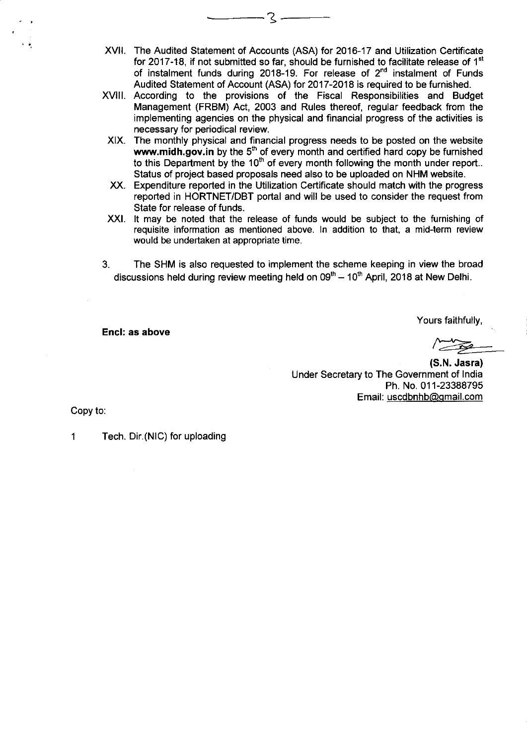XVII. The Audited Statement of Accounts (ASA) for 2016-17 and Utilization Certificate for 2017-18, if not submitted so far, should be furnished to facilitate release of  $1<sup>st</sup>$ of instalment funds during 2018-19. For release of  $2<sup>nd</sup>$  instalment of Funds Audited Statement of Account (ASA) for 2017-2018 is required to be furnished.

. २ -

- xvilt. According to the provisions of the Fiscal Responsibilities and Budget Management (FRBM) Act, 2003 and Rules thereof, regular feedback from the implementing agencies on the physical and financial progress of the activities is necessary for periodical review.
- XIX. The monthly physical and financial progress needs to be posted on the website www.midh.gov.in by the  $5<sup>th</sup>$  of every month and certified hard copy be furnished to this Department by the  $10<sup>th</sup>$  of every month following the month under report.. Status of project based proposals need also to be uploaded on NHM website.
- XX. Expenditure reported in the Utilization Certificate should match with the progress reported in HORTNET/DBT portal and will be used to consider the request from State for release of funds.
- XXI. It may be noted that the release of funds would be subject to the furnishing of requisite information as mentioned above. ln addition to that, a mid-term review would be undertaken at appropriate time.
- 3. The SHM is also requested to implement the scheme keeping in view the broad discussions held during review meeting held on  $09<sup>th</sup> - 10<sup>th</sup>$  April, 2018 at New Delhi.

Encl: as above

Yours faithfully,

(S.N. Jasra) Under Secretary to The Government of lndia Ph. No.01 1-23388795 Email: uscdbnhb@gmail.com

Copy to

1 Tech. Dir.(NlC) for uploading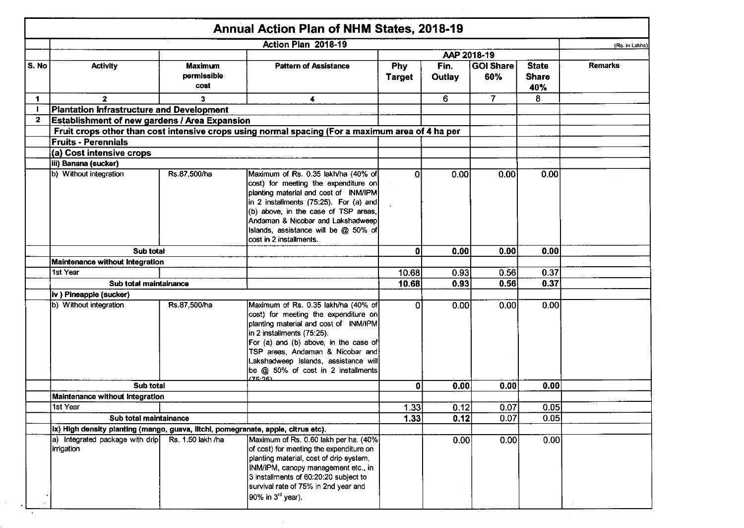|              |                                                                                   |                                       | <b>Annual Action Plan of NHM States, 2018-19</b>                                                                                                                                                                                                                                                                         |                      |                       |                         |                                     |                |
|--------------|-----------------------------------------------------------------------------------|---------------------------------------|--------------------------------------------------------------------------------------------------------------------------------------------------------------------------------------------------------------------------------------------------------------------------------------------------------------------------|----------------------|-----------------------|-------------------------|-------------------------------------|----------------|
|              |                                                                                   |                                       | Action Plan 2018-19                                                                                                                                                                                                                                                                                                      |                      |                       |                         |                                     | (Rs. in Lakhs) |
|              |                                                                                   |                                       |                                                                                                                                                                                                                                                                                                                          |                      | AAP 2018-19           |                         |                                     |                |
| S. No        | <b>Activity</b>                                                                   | <b>Maximum</b><br>permissible<br>cost | <b>Pattern of Assistance</b>                                                                                                                                                                                                                                                                                             | Phy<br><b>Target</b> | Fin.<br><b>Outlay</b> | <b>GOI Share</b><br>60% | <b>State</b><br><b>Share</b><br>40% | <b>Remarks</b> |
| $\mathbf 1$  | $\mathbf{2}$                                                                      | 3                                     | 4                                                                                                                                                                                                                                                                                                                        |                      | 6                     | $\overline{7}$          | 8                                   |                |
| $\mathbf{I}$ | Plantation Infrastructure and Development                                         |                                       |                                                                                                                                                                                                                                                                                                                          |                      |                       |                         |                                     |                |
| $\mathbf{2}$ | Establishment of new gardens / Area Expansion                                     |                                       |                                                                                                                                                                                                                                                                                                                          |                      |                       |                         |                                     |                |
|              |                                                                                   |                                       | Fruit crops other than cost intensive crops using normal spacing (For a maximum area of 4 ha per                                                                                                                                                                                                                         |                      |                       |                         |                                     |                |
|              | <b>Fruits - Perennials</b>                                                        |                                       |                                                                                                                                                                                                                                                                                                                          |                      |                       |                         |                                     |                |
|              | (a) Cost intensive crops                                                          |                                       |                                                                                                                                                                                                                                                                                                                          |                      |                       |                         |                                     |                |
|              | iii) Banana (sucker)                                                              |                                       |                                                                                                                                                                                                                                                                                                                          |                      |                       |                         |                                     |                |
|              | b) Without integration                                                            | Rs.87,500/ha                          | Maximum of Rs. 0.35 lakh/ha (40% of<br>cost) for meeting the expenditure on<br>planting material and cost of INM/IPM<br>in 2 installments $(75:25)$ . For $(a)$ and<br>(b) above, in the case of TSP areas,<br>Andaman & Nicobar and Lakshadweep<br>Islands, assistance will be @ 50% of<br>cost in 2 installments.      | $\Omega$             | 0.00                  | 0.00                    | 0.00                                |                |
|              | Sub total                                                                         |                                       |                                                                                                                                                                                                                                                                                                                          | $\mathbf{0}$         | 0.00                  | 0.00                    | 0.00                                |                |
|              | Maintenance without Integration                                                   |                                       |                                                                                                                                                                                                                                                                                                                          |                      |                       |                         |                                     |                |
|              | 1st Year                                                                          |                                       |                                                                                                                                                                                                                                                                                                                          | 10.68                | 0.93                  | 0.56                    | 0.37                                |                |
|              | Sub total maintainance                                                            |                                       |                                                                                                                                                                                                                                                                                                                          | 10.68                | 0.93                  | 0.56                    | 0.37                                |                |
|              | iv ) Pineapple (sucker)                                                           |                                       |                                                                                                                                                                                                                                                                                                                          |                      |                       |                         |                                     |                |
|              | b) Without integration                                                            | Rs.87,500/ha                          | Maximum of Rs. 0.35 lakh/ha (40% of<br>cost) for meeting the expenditure on<br>planting material and cost of INM/IPM<br>in 2 installments (75:25).<br>For (a) and (b) above, in the case of<br>TSP areas, Andaman & Nicobar and<br>Lakshadweep Islands, assistance will<br>be @ 50% of cost in 2 installments<br>(75.25) | $\Omega$             | 0.00                  | 0.001                   | 0.00                                |                |
|              | Sub total                                                                         |                                       |                                                                                                                                                                                                                                                                                                                          | $\mathbf{0}$         | 0.00                  | 0.00                    | 0.00                                |                |
|              | Maintenance without Integration                                                   |                                       |                                                                                                                                                                                                                                                                                                                          |                      |                       |                         |                                     |                |
|              | 1st Year                                                                          |                                       |                                                                                                                                                                                                                                                                                                                          | 1.33                 | 0.12                  | 0.07                    | 0.05                                |                |
|              |                                                                                   | Sub total maintainance                |                                                                                                                                                                                                                                                                                                                          | 1.33                 | 0.12                  | 0.07                    | 0.05                                |                |
|              | ix) High density planting (mango, guava, litchi, pomegranate, apple, citrus etc). |                                       |                                                                                                                                                                                                                                                                                                                          |                      |                       |                         |                                     |                |
|              | a) Integrated package with drip<br>irrigation                                     | Rs. 1.50 lakh /ha                     | Maximum of Rs. 0.60 lakh per ha. (40%)<br>of cost) for meeting the expenditure on<br>planting material, cost of drip system,<br>INM/IPM, canopy management etc., in<br>3 installments of 60:20:20 subject to<br>survival rate of 75% in 2nd year and<br>90% in 3 <sup>rd</sup> year).                                    |                      | 0.00                  | 0.00                    | 0.00                                |                |

 $\mathcal{L}^{\text{max}}_{\text{max}}$  and  $\mathcal{L}^{\text{max}}_{\text{max}}$ 

 $\mathcal{L}^{\text{max}}_{\text{max}}$ 

 $\sim 100$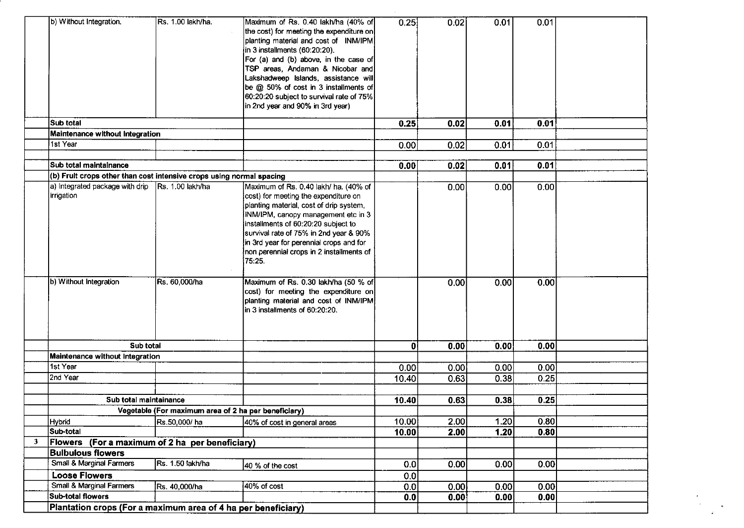|              | b) Without Integration.                                              | Rs. 1.00 lakh/ha.                                    | Maximum of Rs. 0.40 lakh/ha (40% of<br>the cost) for meeting the expenditure on<br>planting material and cost of INM/IPM<br>in 3 installments (60:20:20).<br>For (a) and (b) above, in the case of<br>TSP areas, Andaman & Nicobar and<br>Lakshadweep Islands, assistance will<br>be @ 50% of cost in 3 installments of<br>60:20:20 subject to survival rate of 75%<br>in 2nd year and 90% in 3rd year) | 0.25  | 0.02 | 0.01 | 0.01 |  |
|--------------|----------------------------------------------------------------------|------------------------------------------------------|---------------------------------------------------------------------------------------------------------------------------------------------------------------------------------------------------------------------------------------------------------------------------------------------------------------------------------------------------------------------------------------------------------|-------|------|------|------|--|
|              | Sub total                                                            |                                                      |                                                                                                                                                                                                                                                                                                                                                                                                         | 0.25  | 0.02 | 0.01 | 0.01 |  |
|              | Maintenance without Integration                                      |                                                      |                                                                                                                                                                                                                                                                                                                                                                                                         |       |      |      |      |  |
|              | 1st Year                                                             |                                                      |                                                                                                                                                                                                                                                                                                                                                                                                         | 0.00  | 0.02 | 0.01 | 0.01 |  |
|              |                                                                      |                                                      |                                                                                                                                                                                                                                                                                                                                                                                                         |       |      |      |      |  |
|              | Sub total maintalnance                                               |                                                      |                                                                                                                                                                                                                                                                                                                                                                                                         | 0.00  | 0.02 | 0.01 | 0.01 |  |
|              | (b) Fruit crops other than cost intensive crops using normal spacing |                                                      |                                                                                                                                                                                                                                                                                                                                                                                                         |       |      |      |      |  |
|              | a) Integrated package with drip<br>irrigation                        | Rs. 1.00 lakh/ha                                     | Maximum of Rs. 0.40 lakh/ ha. (40% of<br>cost) for meeting the expenditure on<br>planting material, cost of drip system,<br>INM/IPM, canopy management etc in 3<br>installments of 60:20:20 subject to<br>survival rate of 75% in 2nd year & 90%<br>in 3rd year for perennial crops and for<br>non perennial crops in 2 installments of<br>75:25.                                                       |       | 0.00 | 0.00 | 0.00 |  |
|              | b) Without Integration                                               | Rs. 60,000/ha                                        | Maximum of Rs. 0.30 lakh/ha (50 % of<br>cost) for meeting the expenditure on<br>planting material and cost of INM/IPM<br>in 3 installments of 60:20:20.                                                                                                                                                                                                                                                 |       | 0.00 | 0.00 | 0.00 |  |
|              | Sub total                                                            |                                                      |                                                                                                                                                                                                                                                                                                                                                                                                         | 01    | 0.00 | 0.00 | 0.00 |  |
|              | Maintenance without Integration                                      |                                                      |                                                                                                                                                                                                                                                                                                                                                                                                         |       |      |      |      |  |
|              | 1st Year                                                             |                                                      |                                                                                                                                                                                                                                                                                                                                                                                                         | 0.00  | 0.00 | 0.00 | 0.00 |  |
|              | 2nd Year                                                             |                                                      |                                                                                                                                                                                                                                                                                                                                                                                                         | 10.40 | 0.63 | 0.38 | 0.25 |  |
|              |                                                                      |                                                      |                                                                                                                                                                                                                                                                                                                                                                                                         |       |      |      |      |  |
|              | Sub total maintainance                                               |                                                      |                                                                                                                                                                                                                                                                                                                                                                                                         | 10.40 | 0.63 | 0.38 | 0.25 |  |
|              |                                                                      | Vegetable (For maximum area of 2 ha per beneficiary) |                                                                                                                                                                                                                                                                                                                                                                                                         |       |      |      |      |  |
|              | <b>Hybrid</b>                                                        | Rs.50,000/ ha                                        | 40% of cost in general areas                                                                                                                                                                                                                                                                                                                                                                            | 10.00 | 2.00 | 1.20 | 0.80 |  |
|              | Sub-total                                                            |                                                      |                                                                                                                                                                                                                                                                                                                                                                                                         | 10.00 | 2.00 | 1.20 | 0.80 |  |
| $\mathbf{3}$ | Flowers (For a maximum of 2 ha per beneficiary)                      |                                                      |                                                                                                                                                                                                                                                                                                                                                                                                         |       |      |      |      |  |
|              | <b>Bulbulous flowers</b>                                             |                                                      |                                                                                                                                                                                                                                                                                                                                                                                                         |       |      |      |      |  |
|              | <b>Small &amp; Marginal Farmers</b>                                  | Rs. 1.50 lakh/ha                                     | 40 % of the cost                                                                                                                                                                                                                                                                                                                                                                                        | 0.0   | 0.00 | 0.00 | 0.00 |  |
|              | <b>Loose Flowers</b>                                                 |                                                      |                                                                                                                                                                                                                                                                                                                                                                                                         | 0.0   |      |      |      |  |
|              | Small & Marginal Farmers<br><b>Sub-total flowers</b>                 | Rs. 40,000/ha                                        | 40% of cost                                                                                                                                                                                                                                                                                                                                                                                             | 0.0   | 0.00 | 0.00 | 0.00 |  |
|              |                                                                      |                                                      |                                                                                                                                                                                                                                                                                                                                                                                                         | 0.0   | 0.00 | 0.00 | 0.00 |  |
|              | Plantation crops (For a maximum area of 4 ha per beneficiary)        |                                                      |                                                                                                                                                                                                                                                                                                                                                                                                         |       |      |      |      |  |

 $\sigma^{\pm}$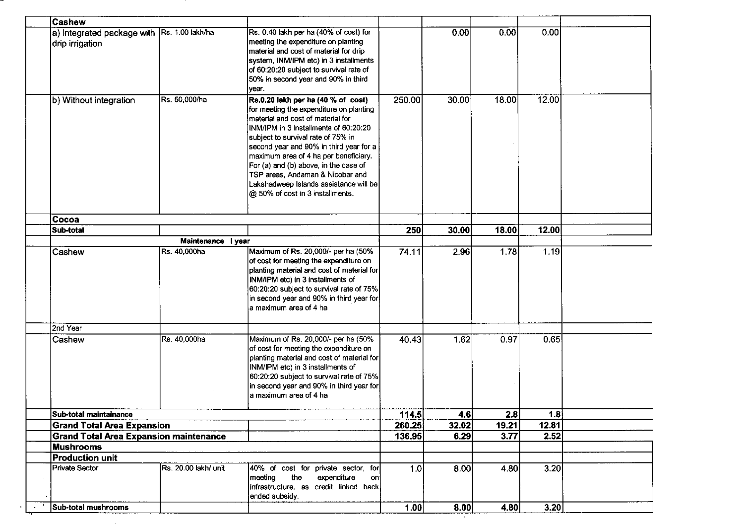| <b>Cashew</b>                                 |                      |                                                                                                                                                                                                                                                                                                                                                                                                                                                  |        |       |       |       |  |
|-----------------------------------------------|----------------------|--------------------------------------------------------------------------------------------------------------------------------------------------------------------------------------------------------------------------------------------------------------------------------------------------------------------------------------------------------------------------------------------------------------------------------------------------|--------|-------|-------|-------|--|
| a) Integrated package with<br>drip irrigation | Rs. 1.00 lakh/ha     | Rs. 0.40 lakh per ha (40% of cost) for<br>meeting the expenditure on planting<br>material and cost of material for drip<br>system, INM/IPM etc) in 3 installments<br>of 60:20:20 subject to survival rate of<br>50% in second year and 90% in third<br>year.                                                                                                                                                                                     |        | 0.00  | 0.00  | 0.00  |  |
| b) Without integration                        | Rs. 50,000/ha        | Rs.0.20 lakh per ha (40 % of cost)<br>for meeting the expenditure on planting<br>material and cost of material for<br>INM/IPM in 3 installments of 60:20:20<br>subject to survival rate of 75% in<br>second year and 90% in third year for a<br>maximum area of 4 ha per beneficiary.<br>For (a) and (b) above, in the case of<br>TSP areas, Andaman & Nicobar and<br>Lakshadweep Islands assistance will be<br>@ 50% of cost in 3 installments. | 250.00 | 30.00 | 18.00 | 12.00 |  |
| Cocoa                                         |                      |                                                                                                                                                                                                                                                                                                                                                                                                                                                  |        |       |       |       |  |
| Sub-total                                     |                      |                                                                                                                                                                                                                                                                                                                                                                                                                                                  | 250    | 30.00 | 18.00 | 12.00 |  |
| Maintenance I year                            |                      |                                                                                                                                                                                                                                                                                                                                                                                                                                                  |        |       |       |       |  |
| Cashew                                        | Rs. 40,000ha         | Maximum of Rs. 20,000/- per ha (50%<br>of cost for meeting the expenditure on<br>planting material and cost of material for<br>INM/IPM etc) in 3 installments of<br>60:20:20 subject to survival rate of 75%<br>in second year and 90% in third year for<br>a maximum area of 4 ha                                                                                                                                                               | 74.11  | 2.96  | 1.78  | 1.19  |  |
| 2nd Year                                      |                      |                                                                                                                                                                                                                                                                                                                                                                                                                                                  |        |       |       |       |  |
| Cashew                                        | Rs. 40,000ha         | Maximum of Rs. 20,000/- per ha (50%<br>of cost for meeting the expenditure on<br>planting material and cost of material for<br>INM/IPM etc) in 3 installments of<br>60:20:20 subject to survival rate of 75%<br>in second year and 90% in third year for<br>a maximum area of 4 ha                                                                                                                                                               | 40.43  | 1.62  | 0.97  | 0.65  |  |
| Sub-total maintainance                        |                      |                                                                                                                                                                                                                                                                                                                                                                                                                                                  | 114.5  | 4.6   | 2.8   | 1.8   |  |
| <b>Grand Total Area Expansion</b>             |                      |                                                                                                                                                                                                                                                                                                                                                                                                                                                  | 260.25 | 32.02 | 19.21 | 12.81 |  |
| <b>Grand Total Area Expansion maintenance</b> |                      |                                                                                                                                                                                                                                                                                                                                                                                                                                                  | 136.95 | 6.29  | 3.77  | 2.52  |  |
| <b>Mushrooms</b>                              |                      |                                                                                                                                                                                                                                                                                                                                                                                                                                                  |        |       |       |       |  |
| <b>Production unit</b>                        |                      |                                                                                                                                                                                                                                                                                                                                                                                                                                                  |        |       |       |       |  |
| Private Sector                                | Rs. 20.00 lakh/ unit | 40% of cost for private sector, for<br>the<br>meeting<br>expenditure<br>oni<br>infrastructure, as credit linked back<br>ended subsidy.                                                                                                                                                                                                                                                                                                           | 1.0    | 8.00  | 4.80  | 3.20  |  |
| Sub-total mushrooms                           |                      |                                                                                                                                                                                                                                                                                                                                                                                                                                                  | 1.00   | 8.00  | 4.80  | 3.20  |  |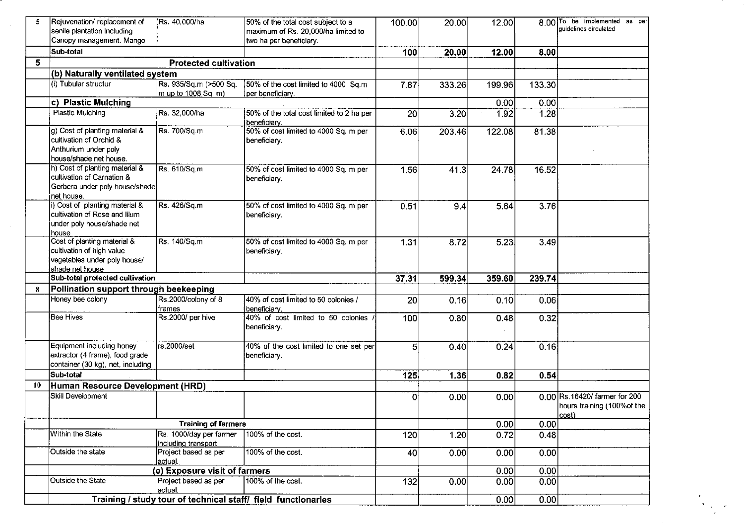| 5  | Rejuvenation/replacement of<br>senile plantation including                                                   | Rs. 40,000/ha                                  | 50% of the total cost subject to a<br>maximum of Rs. 20,000/ha limited to | 100.00      | 20.00  | 12.00  |        | 8.00 To be implemented as per<br>guidelines circulated                          |
|----|--------------------------------------------------------------------------------------------------------------|------------------------------------------------|---------------------------------------------------------------------------|-------------|--------|--------|--------|---------------------------------------------------------------------------------|
|    | Canopy management. Mango                                                                                     |                                                | two ha per beneficiary.                                                   |             |        |        |        |                                                                                 |
|    | Sub-total                                                                                                    |                                                |                                                                           | 100         | 20.00  | 12.00  | 8.00   |                                                                                 |
| 5  |                                                                                                              | <b>Protected cultivation</b>                   |                                                                           |             |        |        |        |                                                                                 |
|    | (b) Naturally ventilated system                                                                              |                                                |                                                                           |             |        |        |        |                                                                                 |
|    | (i) Tubular structur                                                                                         | Rs. 935/Sq.m (>500 Sq.<br>m up to 1008 Sq. m)  | 50% of the cost limited to 4000 Sq.m<br>lper beneficiary.                 | 7.87        | 333.26 | 199.96 | 133.30 |                                                                                 |
|    | c) Plastic Mulching                                                                                          |                                                |                                                                           |             |        | 0.00   | 0.00   |                                                                                 |
|    | Plastic Mulching                                                                                             | Rs. 32,000/ha                                  | 50% of the total cost limited to 2 ha per<br>beneficiary.                 | 20          | 3.20   | 1.92   | 1.28   |                                                                                 |
|    | g) Cost of planting material &<br>cultivation of Orchid &<br>Anthurium under poly<br>house/shade net house.  | Rs. 700/Sq.m                                   | 50% of cost limited to 4000 Sq. m per<br>beneficiary.                     | 6.06        | 203.46 | 122.08 | 81.38  |                                                                                 |
|    | h) Cost of planting material &<br>cultivation of Carnation &<br>Gerbera under poly house/shade<br>net house. | Rs. 610/Sq.m                                   | 50% of cost limited to 4000 Sq. m per<br>beneficiary.                     | 1.56        | 41.3   | 24.78  | 16.52  |                                                                                 |
|    | i) Cost of planting material &<br>cultivation of Rose and lilum<br>under poly house/shade net<br>house       | Rs. 426/Sq.m                                   | 50% of cost limited to 4000 Sq. m per<br>beneficiary.                     | 0.51        | 9.4    | 5.64   | 3.76   |                                                                                 |
|    | Cost of planting material &<br>cultivation of high value<br>vegetables under poly house/<br>shade net house  | Rs. 140/Sq.m                                   | 50% of cost limited to 4000 Sq. m per<br>beneficiary.                     | 1.31        | 8.72   | 5.23   | 3.49   |                                                                                 |
|    | Sub-total protected cultivation                                                                              |                                                |                                                                           | 37.31       | 599.34 | 359.60 | 239.74 |                                                                                 |
| 8  | Pollination support through beekeeping                                                                       |                                                |                                                                           |             |        |        |        |                                                                                 |
|    | Honey bee colony                                                                                             | Rs.2000/colony of 8<br>frames                  | 40% of cost limited to 50 colonies /<br>beneficiary.                      | 20          | 0.16   | 0.10   | 0.06   |                                                                                 |
|    | <b>Bee Hives</b>                                                                                             | Rs.2000/ per hive                              | 40% of cost limited to 50 colonies<br>beneficiary.                        | 100         | 0.80   | 0.48   | 0.32   |                                                                                 |
|    | Equipment including honey<br>extractor (4 frame), food grade<br>container (30 kg), net, including            | rs.2000/set                                    | 40% of the cost limited to one set per<br>beneficiary.                    | 5           | 0.40   | 0.24   | 0.16   |                                                                                 |
|    | Sub-total                                                                                                    |                                                |                                                                           | 125         | 1.36   | 0.82   | 0.54   |                                                                                 |
| 10 | Human Resource Development (HRD)                                                                             |                                                |                                                                           |             |        |        |        |                                                                                 |
|    | Skill Development                                                                                            |                                                |                                                                           | $\mathbf 0$ | 0.00   | 0.00   |        | 0.00 Rs. 16420/ farmer for 200<br>hours training (100% of the<br>$ cost\rangle$ |
|    | <b>Training of farmers</b>                                                                                   |                                                |                                                                           |             |        | 0.00   | 0.00   |                                                                                 |
|    | Within the State                                                                                             | Rs. 1000/day per farmer<br>including transport | 100% of the cost.                                                         | 120         | 1.20   | 0.72   | 0.48   |                                                                                 |
|    | Outside the state                                                                                            | Project based as per<br>lactual.               | 100% of the cost.                                                         | 40          | 0.00   | 0.00   | 0.00   |                                                                                 |
|    |                                                                                                              | (e) Exposure visit of farmers                  |                                                                           |             |        | 0.00   | 0.00   |                                                                                 |
|    | Outside the State                                                                                            | Project based as per<br>actual.                | 100% of the cost.                                                         | 132         | 0.00   | 0.00   | 0.00   |                                                                                 |
|    |                                                                                                              |                                                | Training / study tour of technical staff/ field functionaries             |             |        | 0.00   | 0.00   |                                                                                 |

 $\sim 10^{-1}$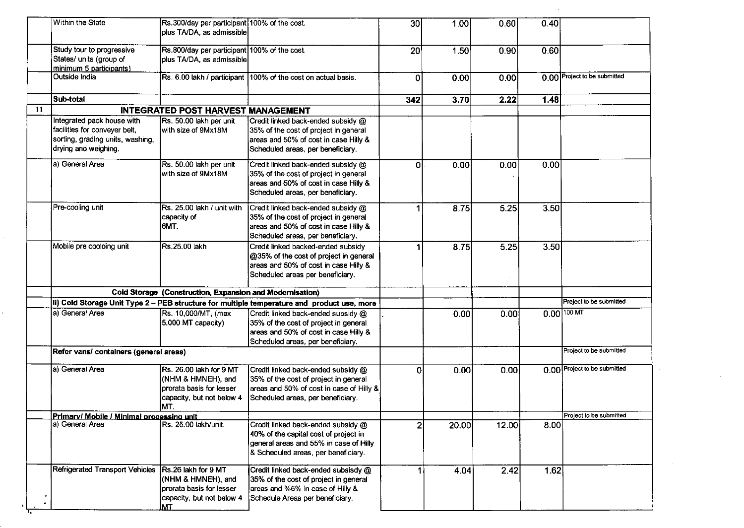| Within the State                                                                                                        | Rs.300/day per participant 100% of the cost.<br>plus TA/DA, as admissible                                                                |                                                                                                                                                              | 30 <sub>l</sub> | 1.00  | 0.60  | 0.40 |                              |
|-------------------------------------------------------------------------------------------------------------------------|------------------------------------------------------------------------------------------------------------------------------------------|--------------------------------------------------------------------------------------------------------------------------------------------------------------|-----------------|-------|-------|------|------------------------------|
| Study tour to progressive<br>States/ units (group of<br>minimum 5 participants)                                         | Rs.800/day per participant 100% of the cost.<br>plus TA/DA, as admissible                                                                |                                                                                                                                                              | 20              | 1.50  | 0.90  | 0.60 |                              |
| Outside India                                                                                                           |                                                                                                                                          | Rs. 6.00 lakh / participant 100% of the cost on actual basis.                                                                                                | $\Omega$        | 0.00  | 0.00  |      | 0.00 Project to be submitted |
| Sub-total                                                                                                               |                                                                                                                                          |                                                                                                                                                              | 342             | 3.70  | 2.22  | 1.48 |                              |
| 11                                                                                                                      | <b>INTEGRATED POST HARVEST MANAGEMENT</b>                                                                                                |                                                                                                                                                              |                 |       |       |      |                              |
| Integrated pack house with<br>facilities for conveyer belt,<br>sorting, grading units, washing,<br>drying and weighing. | Rs. 50.00 lakh per unit<br>with size of 9Mx18M                                                                                           | Credit linked back-ended subsidy @<br>35% of the cost of project in general<br>areas and 50% of cost in case Hilly &<br>Scheduled areas, per beneficiary.    |                 |       |       |      |                              |
| a) General Area                                                                                                         | Rs. 50.00 lakh per unit<br>lwith size of 9Mx18M                                                                                          | Credit linked back-ended subsidy @<br>35% of the cost of project in general<br>areas and 50% of cost in case Hilly &<br>Scheduled areas, per beneficiary.    | ΩI              | 0.00  | 0.00  | 0.00 |                              |
| Pre-cooling unit                                                                                                        | Rs. 25.00 lakh / unit with<br>capacity of<br>6MT.                                                                                        | Credit linked back-ended subsidy @<br>35% of the cost of project in general<br>areas and 50% of cost in case Hilly &<br>Scheduled areas, per beneficiary.    |                 | 8.75  | 5.25  | 3.50 |                              |
| Mobile pre cooloing unit                                                                                                | Rs.25.00 lakh                                                                                                                            | Credit linked backed-ended subsidy<br>@35% of the cost of project in general<br>areas and 50% of cost in case Hilly &<br>Scheduled areas per beneficiary.    |                 | 8.75  | 5.25  | 3.50 |                              |
|                                                                                                                         | Cold Storage (Construction, Expansion and Modernisation)                                                                                 |                                                                                                                                                              |                 |       |       |      |                              |
|                                                                                                                         |                                                                                                                                          | il) Cold Storage Unit Type 2 -- PEB structure for multiple temperature and product use, more                                                                 |                 |       |       |      | Project to be submitted      |
| la) General Area                                                                                                        | Rs. 10,000/MT, (max<br>5,000 MT capacity)                                                                                                | Credit linked back-ended subsidy @<br>35% of the cost of project in general<br>areas and 50% of cost in case Hilly &<br>Scheduled areas, per beneficiary.    |                 | 0.00  | 0.00  |      | $0.00$ 100 MT                |
| Refer vans/ containers (general areas)                                                                                  |                                                                                                                                          |                                                                                                                                                              |                 |       |       |      | Project to be submitted      |
| a) General Area                                                                                                         | Rs. 26.00 lakh for 9 MT<br>(NHM & HMNEH), and<br>prorata basis for lesser<br>capacity, but not below 4<br>MT.                            | Credit linked back-ended subsidy @<br>35% of the cost of project in general<br>areas and 50% of cost in case of Hilly &<br>Scheduled areas, per beneficiary. | 0               | 0.00  | 0.00  |      | 0.00 Project to be submitted |
| Primary/ Mobile / Minimal processing unit                                                                               |                                                                                                                                          |                                                                                                                                                              |                 |       |       |      | Project to be submitted      |
| la) General Area                                                                                                        | Rs. 25.00 lakh/unit.                                                                                                                     | Credit linked back-ended subsidy @<br>40% of the capital cost of project in<br>general areas and 55% in case of Hilly<br>& Scheduled areas, per beneficiary. | 2               | 20.00 | 12.00 | 8.00 |                              |
|                                                                                                                         | Refrigerated Transport Vehicles Rs.26 lakh for 9 MT<br>(NHM & HMNEH), and<br>prorata basis for lesser<br>capacity, but not below 4<br>MT | Credit linked back-ended subsisdy @<br>35% of the cost of project in general<br>areas and %5% in case of Hilly &<br>Schedule Areas per beneficiary.          |                 | 4.04  | 2.42  | 1.62 |                              |

 $\mathcal{L}_{\mathcal{A}}$ 

ार

 $\mathcal{L}^{\text{max}}_{\text{max}}$  and  $\mathcal{L}^{\text{max}}_{\text{max}}$